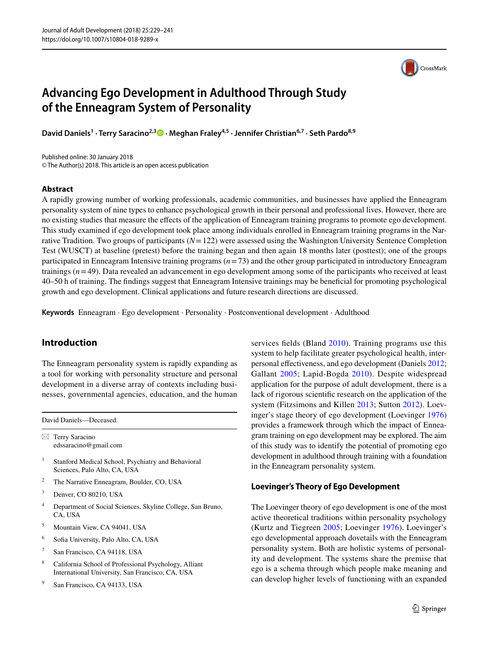

# **Advancing Ego Development in Adulthood Through Study of the Enneagram System of Personality**

David Daniels<sup>1</sup> [·](http://orcid.org/0000-0002-9733-6322) Terry Saracino<sup>2,3</sup><sup>0</sup> · Meghan Fraley<sup>4,5</sup> · Jennifer Christian<sup>6,7</sup> · Seth Pardo<sup>8,9</sup>

Published online: 30 January 2018 © The Author(s) 2018. This article is an open access publication

## **Abstract**

A rapidly growing number of working professionals, academic communities, and businesses have applied the Enneagram personality system of nine types to enhance psychological growth in their personal and professional lives. However, there are no existing studies that measure the effects of the application of Enneagram training programs to promote ego development. This study examined if ego development took place among individuals enrolled in Enneagram training programs in the Narrative Tradition. Two groups of participants (*N*=122) were assessed using the Washington University Sentence Completion Test (WUSCT) at baseline (pretest) before the training began and then again 18 months later (posttest); one of the groups participated in Enneagram Intensive training programs (*n*=73) and the other group participated in introductory Enneagram trainings (*n*=49). Data revealed an advancement in ego development among some of the participants who received at least 40–50 h of training. The findings suggest that Enneagram Intensive trainings may be beneficial for promoting psychological growth and ego development. Clinical applications and future research directions are discussed.

**Keywords** Enneagram · Ego development · Personality · Postconventional development · Adulthood

# **Introduction**

The Enneagram personality system is rapidly expanding as a tool for working with personality structure and personal development in a diverse array of contexts including businesses, governmental agencies, education, and the human

| David Daniels-Deceased. |                                                                                                           |  |  |  |
|-------------------------|-----------------------------------------------------------------------------------------------------------|--|--|--|
| ⋈                       | Terry Saracino<br>edssaracino@gmail.com                                                                   |  |  |  |
| 1                       | Stanford Medical School, Psychiatry and Behavioral<br>Sciences, Palo Alto, CA, USA                        |  |  |  |
| 2                       | The Narrative Enneagram, Boulder, CO, USA                                                                 |  |  |  |
| 3                       | Denver, CO 80210, USA                                                                                     |  |  |  |
| 4                       | Department of Social Sciences, Skyline College, San Bruno,<br>CA, USA                                     |  |  |  |
| 5                       | Mountain View, CA 94041, USA                                                                              |  |  |  |
| 6                       | Sofia University, Palo Alto, CA, USA                                                                      |  |  |  |
| $\tau$                  | San Francisco, CA 94118, USA                                                                              |  |  |  |
| 8                       | California School of Professional Psychology, Alliant<br>International University, San Francisco, CA, USA |  |  |  |
| 9                       | San Francisco, CA 94133, USA                                                                              |  |  |  |

services fields (Bland [2010](#page-10-0)). Training programs use this system to help facilitate greater psychological health, interpersonal effectiveness, and ego development (Daniels [2012](#page-10-1); Gallant [2005](#page-10-2); Lapid-Bogda [2010\)](#page-11-0). Despite widespread application for the purpose of adult development, there is a lack of rigorous scientific research on the application of the system (Fitzsimons and Killen [2013](#page-10-3); Sutton [2012](#page-12-0)). Loevinger's stage theory of ego development (Loevinger [1976](#page-11-1)) provides a framework through which the impact of Enneagram training on ego development may be explored. The aim of this study was to identify the potential of promoting ego development in adulthood through training with a foundation in the Enneagram personality system.

## **Loevinger's Theory of Ego Development**

The Loevinger theory of ego development is one of the most active theoretical traditions within personality psychology (Kurtz and Tiegreen [2005;](#page-11-2) Loevinger [1976](#page-11-1)). Loevinger's ego developmental approach dovetails with the Enneagram personality system. Both are holistic systems of personality and development. The systems share the premise that ego is a schema through which people make meaning and can develop higher levels of functioning with an expanded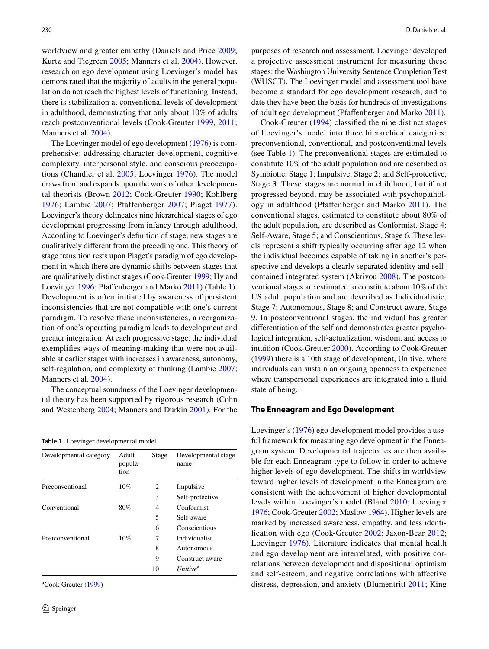worldview and greater empathy (Daniels and Price [2009](#page-10-4); Kurtz and Tiegreen [2005](#page-11-2); Manners et al. [2004\)](#page-11-3). However, research on ego development using Loevinger's model has demonstrated that the majority of adults in the general population do not reach the highest levels of functioning. Instead, there is stabilization at conventional levels of development in adulthood, demonstrating that only about 10% of adults reach postconventional levels (Cook-Greuter [1999](#page-10-5), [2011](#page-10-6); Manners et al. [2004\)](#page-11-3).

The Loevinger model of ego development [\(1976](#page-11-1)) is comprehensive; addressing character development, cognitive complexity, interpersonal style, and conscious preoccupations (Chandler et al. [2005](#page-10-7); Loevinger [1976](#page-11-1)). The model draws from and expands upon the work of other developmental theorists (Brown [2012](#page-10-8); Cook-Greuter [1990;](#page-10-9) Kohlberg [1976](#page-11-4); Lambie [2007;](#page-11-5) Pfaffenberger [2007](#page-11-6); Piaget [1977](#page-11-7)). Loevinger's theory delineates nine hierarchical stages of ego development progressing from infancy through adulthood. According to Loevinger's definition of stage, new stages are qualitatively different from the preceding one. This theory of stage transition rests upon Piaget's paradigm of ego development in which there are dynamic shifts between stages that are qualitatively distinct stages (Cook-Greuter [1999](#page-10-5); Hy and Loevinger [1996;](#page-10-10) Pfaffenberger and Marko [2011\)](#page-11-8) (Table [1](#page-1-0)). Development is often initiated by awareness of persistent inconsistencies that are not compatible with one's current paradigm. To resolve these inconsistencies, a reorganization of one's operating paradigm leads to development and greater integration. At each progressive stage, the individual exemplifies ways of meaning-making that were not available at earlier stages with increases in awareness, autonomy, self-regulation, and complexity of thinking (Lambie [2007](#page-11-5); Manners et al. [2004\)](#page-11-3).

The conceptual soundness of the Loevinger developmental theory has been supported by rigorous research (Cohn and Westenberg [2004;](#page-10-11) Manners and Durkin [2001](#page-11-9)). For the

<span id="page-1-0"></span>

| Adult<br>popula-<br>tion | Stage | Developmental stage<br>name |
|--------------------------|-------|-----------------------------|
| 10%                      | 2     | Impulsive                   |
|                          | 3     | Self-protective             |
| 80%                      | 4     | Conformist                  |
|                          | 5     | Self-aware                  |
|                          | 6     | Conscientious               |
| 10%                      | 7     | Individualist               |
|                          | 8     | Autonomous                  |
|                          | 9     | Construct aware             |
|                          | 10    | Unitive <sup>a</sup>        |
|                          |       |                             |

a Cook-Greuter ([1999\)](#page-10-5)

purposes of research and assessment, Loevinger developed a projective assessment instrument for measuring these stages: the Washington University Sentence Completion Test (WUSCT). The Loevinger model and assessment tool have become a standard for ego development research, and to date they have been the basis for hundreds of investigations of adult ego development (Pfaffenberger and Marko [2011](#page-11-8)).

Cook-Greuter ([1994](#page-10-12)) classified the nine distinct stages of Loevinger's model into three hierarchical categories: preconventional, conventional, and postconventional levels (see Table [1](#page-1-0)). The preconventional stages are estimated to constitute 10% of the adult population and are described as Symbiotic, Stage 1; Impulsive, Stage 2; and Self-protective, Stage 3. These stages are normal in childhood, but if not progressed beyond, may be associated with psychopathology in adulthood (Pfaffenberger and Marko [2011](#page-11-8)). The conventional stages, estimated to constitute about 80% of the adult population, are described as Conformist, Stage 4; Self-Aware, Stage 5; and Conscientious, Stage 6. These levels represent a shift typically occurring after age 12 when the individual becomes capable of taking in another's perspective and develops a clearly separated identity and selfcontained integrated system (Akrivou [2008](#page-10-13)). The postconventional stages are estimated to constitute about 10% of the US adult population and are described as Individualistic, Stage 7; Autonomous, Stage 8; and Construct-aware, Stage 9. In postconventional stages, the individual has greater differentiation of the self and demonstrates greater psychological integration, self-actualization, wisdom, and access to intuition (Cook-Greuter [2000\)](#page-10-14). According to Cook-Greuter ([1999\)](#page-10-5) there is a 10th stage of development, Unitive, where individuals can sustain an ongoing openness to experience where transpersonal experiences are integrated into a fluid state of being.

#### **The Enneagram and Ego Development**

Loevinger's ([1976\)](#page-11-1) ego development model provides a useful framework for measuring ego development in the Enneagram system. Developmental trajectories are then available for each Enneagram type to follow in order to achieve higher levels of ego development. The shifts in worldview toward higher levels of development in the Enneagram are consistent with the achievement of higher developmental levels within Loevinger's model (Bland [2010](#page-10-0); Loevinger [1976](#page-11-1); Cook-Greuter [2002;](#page-10-15) Maslow [1964](#page-11-10)). Higher levels are marked by increased awareness, empathy, and less identification with ego (Cook-Greuter [2002;](#page-10-15) Jaxon-Bear [2012](#page-10-16); Loevinger [1976\)](#page-11-1). Literature indicates that mental health and ego development are interrelated, with positive correlations between development and dispositional optimism and self-esteem, and negative correlations with affective distress, depression, and anxiety (Blumentritt [2011;](#page-10-17) King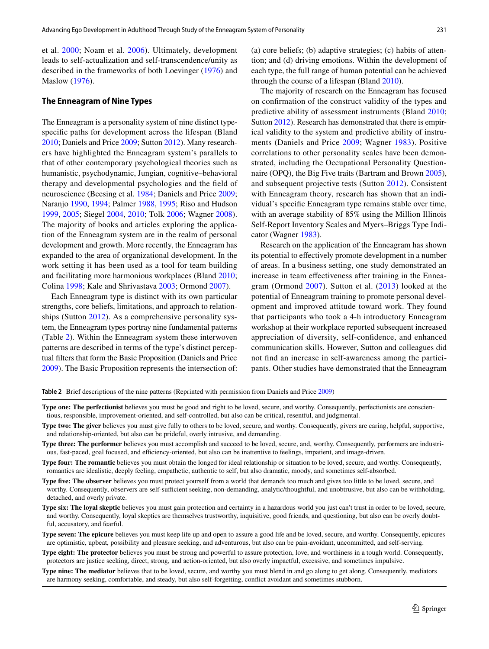et al. [2000](#page-11-11); Noam et al. [2006](#page-11-12)). Ultimately, development leads to self-actualization and self-transcendence/unity as described in the frameworks of both Loevinger [\(1976](#page-11-1)) and Maslow [\(1976](#page-11-13)).

#### **The Enneagram of Nine Types**

The Enneagram is a personality system of nine distinct typespecific paths for development across the lifespan (Bland [2010;](#page-10-0) Daniels and Price [2009](#page-10-4); Sutton [2012\)](#page-12-0). Many researchers have highlighted the Enneagram system's parallels to that of other contemporary psychological theories such as humanistic, psychodynamic, Jungian, cognitive–behavioral therapy and developmental psychologies and the field of neuroscience (Beesing et al. [1984;](#page-10-18) Daniels and Price [2009](#page-10-4); Naranjo [1990](#page-11-14), [1994;](#page-11-15) Palmer [1988](#page-11-16), [1995;](#page-11-17) Riso and Hudson [1999](#page-11-18), [2005;](#page-11-19) Siegel [2004](#page-11-20), [2010;](#page-11-21) Tolk [2006](#page-12-1); Wagner [2008](#page-12-2)). The majority of books and articles exploring the application of the Enneagram system are in the realm of personal development and growth. More recently, the Enneagram has expanded to the area of organizational development. In the work setting it has been used as a tool for team building and facilitating more harmonious workplaces (Bland [2010](#page-10-0); Colina [1998;](#page-10-19) Kale and Shrivastava [2003;](#page-10-20) Ormond [2007](#page-11-22)).

Each Enneagram type is distinct with its own particular strengths, core beliefs, limitations, and approach to relationships (Sutton [2012\)](#page-12-0). As a comprehensive personality system, the Enneagram types portray nine fundamental patterns (Table [2](#page-2-0)). Within the Enneagram system these interwoven patterns are described in terms of the type's distinct perceptual filters that form the Basic Proposition (Daniels and Price [2009](#page-10-4)). The Basic Proposition represents the intersection of: (a) core beliefs; (b) adaptive strategies; (c) habits of attention; and (d) driving emotions. Within the development of each type, the full range of human potential can be achieved through the course of a lifespan (Bland [2010\)](#page-10-0).

The majority of research on the Enneagram has focused on confirmation of the construct validity of the types and predictive ability of assessment instruments (Bland [2010](#page-10-0); Sutton [2012\)](#page-12-0). Research has demonstrated that there is empirical validity to the system and predictive ability of instruments (Daniels and Price [2009](#page-10-4); Wagner [1983](#page-12-3)). Positive correlations to other personality scales have been demonstrated, including the Occupational Personality Questionnaire (OPQ), the Big Five traits (Bartram and Brown [2005](#page-10-21)), and subsequent projective tests (Sutton [2012\)](#page-12-0). Consistent with Enneagram theory, research has shown that an individual's specific Enneagram type remains stable over time, with an average stability of 85% using the Million Illinois Self-Report Inventory Scales and Myers–Briggs Type Indicator (Wagner [1983](#page-12-3)).

Research on the application of the Enneagram has shown its potential to effectively promote development in a number of areas. In a business setting, one study demonstrated an increase in team effectiveness after training in the Enneagram (Ormond [2007](#page-11-22)). Sutton et al. [\(2013](#page-12-4)) looked at the potential of Enneagram training to promote personal development and improved attitude toward work. They found that participants who took a 4-h introductory Enneagram workshop at their workplace reported subsequent increased appreciation of diversity, self-confidence, and enhanced communication skills. However, Sutton and colleagues did not find an increase in self-awareness among the participants. Other studies have demonstrated that the Enneagram

<span id="page-2-0"></span>**Table 2** Brief descriptions of the nine patterns (Reprinted with permission from Daniels and Price [2009\)](#page-10-4)

- **Type three: The performer** believes you must accomplish and succeed to be loved, secure, and, worthy. Consequently, performers are industrious, fast-paced, goal focused, and efficiency-oriented, but also can be inattentive to feelings, impatient, and image-driven.
- **Type four: The romantic** believes you must obtain the longed for ideal relationship or situation to be loved, secure, and worthy. Consequently, romantics are idealistic, deeply feeling, empathetic, authentic to self, but also dramatic, moody, and sometimes self-absorbed.
- **Type five: The observer** believes you must protect yourself from a world that demands too much and gives too little to be loved, secure, and worthy. Consequently, observers are self-sufficient seeking, non-demanding, analytic/thoughtful, and unobtrusive, but also can be withholding, detached, and overly private.
- **Type six: The loyal skeptic** believes you must gain protection and certainty in a hazardous world you just can't trust in order to be loved, secure, and worthy. Consequently, loyal skeptics are themselves trustworthy, inquisitive, good friends, and questioning, but also can be overly doubtful, accusatory, and fearful.
- **Type seven: The epicure** believes you must keep life up and open to assure a good life and be loved, secure, and worthy. Consequently, epicures are optimistic, upbeat, possibility and pleasure seeking, and adventurous, but also can be pain-avoidant, uncommitted, and self-serving.
- **Type eight: The protector** believes you must be strong and powerful to assure protection, love, and worthiness in a tough world. Consequently, protectors are justice seeking, direct, strong, and action-oriented, but also overly impactful, excessive, and sometimes impulsive.
- **Type nine: The mediator** believes that to be loved, secure, and worthy you must blend in and go along to get along. Consequently, mediators are harmony seeking, comfortable, and steady, but also self-forgetting, conflict avoidant and sometimes stubborn.

**Type one: The perfectionist** believes you must be good and right to be loved, secure, and worthy. Consequently, perfectionists are conscientious, responsible, improvement-oriented, and self-controlled, but also can be critical, resentful, and judgmental.

**Type two: The giver** believes you must give fully to others to be loved, secure, and worthy. Consequently, givers are caring, helpful, supportive, and relationship-oriented, but also can be prideful, overly intrusive, and demanding.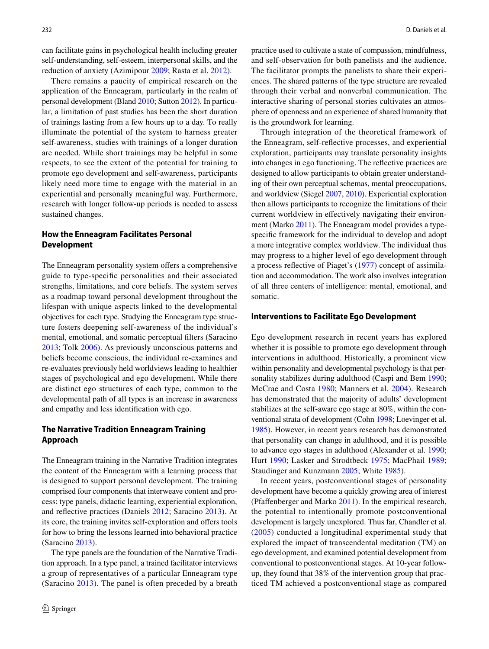can facilitate gains in psychological health including greater self-understanding, self-esteem, interpersonal skills, and the reduction of anxiety (Azimipour [2009](#page-10-22); Rasta et al. [2012\)](#page-11-23).

There remains a paucity of empirical research on the application of the Enneagram, particularly in the realm of personal development (Bland [2010;](#page-10-0) Sutton [2012](#page-12-0)). In particular, a limitation of past studies has been the short duration of trainings lasting from a few hours up to a day. To really illuminate the potential of the system to harness greater self-awareness, studies with trainings of a longer duration are needed. While short trainings may be helpful in some respects, to see the extent of the potential for training to promote ego development and self-awareness, participants likely need more time to engage with the material in an experiential and personally meaningful way. Furthermore, research with longer follow-up periods is needed to assess sustained changes.

## **How the Enneagram Facilitates Personal Development**

The Enneagram personality system offers a comprehensive guide to type-specific personalities and their associated strengths, limitations, and core beliefs. The system serves as a roadmap toward personal development throughout the lifespan with unique aspects linked to the developmental objectives for each type. Studying the Enneagram type structure fosters deepening self-awareness of the individual's mental, emotional, and somatic perceptual filters (Saracino [2013](#page-11-24); Tolk [2006\)](#page-12-1). As previously unconscious patterns and beliefs become conscious, the individual re-examines and re-evaluates previously held worldviews leading to healthier stages of psychological and ego development. While there are distinct ego structures of each type, common to the developmental path of all types is an increase in awareness and empathy and less identification with ego.

## **The Narrative Tradition Enneagram Training Approach**

The Enneagram training in the Narrative Tradition integrates the content of the Enneagram with a learning process that is designed to support personal development. The training comprised four components that interweave content and process: type panels, didactic learning, experiential exploration, and reflective practices (Daniels [2012;](#page-10-1) Saracino [2013](#page-11-24)). At its core, the training invites self-exploration and offers tools for how to bring the lessons learned into behavioral practice (Saracino [2013](#page-11-24)).

The type panels are the foundation of the Narrative Tradition approach. In a type panel, a trained facilitator interviews a group of representatives of a particular Enneagram type (Saracino [2013](#page-11-24)). The panel is often preceded by a breath practice used to cultivate a state of compassion, mindfulness, and self-observation for both panelists and the audience. The facilitator prompts the panelists to share their experiences. The shared patterns of the type structure are revealed through their verbal and nonverbal communication. The interactive sharing of personal stories cultivates an atmosphere of openness and an experience of shared humanity that is the groundwork for learning.

Through integration of the theoretical framework of the Enneagram, self-reflective processes, and experiential exploration, participants may translate personality insights into changes in ego functioning. The reflective practices are designed to allow participants to obtain greater understanding of their own perceptual schemas, mental preoccupations, and worldview (Siegel [2007](#page-11-25), [2010\)](#page-11-21). Experiential exploration then allows participants to recognize the limitations of their current worldview in effectively navigating their environment (Marko [2011](#page-11-26)). The Enneagram model provides a typespecific framework for the individual to develop and adopt a more integrative complex worldview. The individual thus may progress to a higher level of ego development through a process reflective of Piaget's ([1977\)](#page-11-7) concept of assimilation and accommodation. The work also involves integration of all three centers of intelligence: mental, emotional, and somatic.

#### **Interventions to Facilitate Ego Development**

Ego development research in recent years has explored whether it is possible to promote ego development through interventions in adulthood. Historically, a prominent view within personality and developmental psychology is that per-sonality stabilizes during adulthood (Caspi and Bem [1990](#page-10-23); McCrae and Costa [1980;](#page-11-27) Manners et al. [2004\)](#page-11-3). Research has demonstrated that the majority of adults' development stabilizes at the self-aware ego stage at 80%, within the conventional strata of development (Cohn [1998](#page-10-24); Loevinger et al. [1985](#page-11-28)). However, in recent years research has demonstrated that personality can change in adulthood, and it is possible to advance ego stages in adulthood (Alexander et al. [1990](#page-10-25); Hurt [1990](#page-10-26); Lasker and Strodtbeck [1975](#page-11-29); MacPhail [1989](#page-11-30); Staudinger and Kunzmann [2005](#page-12-5); White [1985\)](#page-12-6).

In recent years, postconventional stages of personality development have become a quickly growing area of interest (Pfaffenberger and Marko [2011\)](#page-11-8). In the empirical research, the potential to intentionally promote postconventional development is largely unexplored. Thus far, Chandler et al. ([2005](#page-10-7)) conducted a longitudinal experimental study that explored the impact of transcendental meditation (TM) on ego development, and examined potential development from conventional to postconventional stages. At 10-year followup, they found that 38% of the intervention group that practiced TM achieved a postconventional stage as compared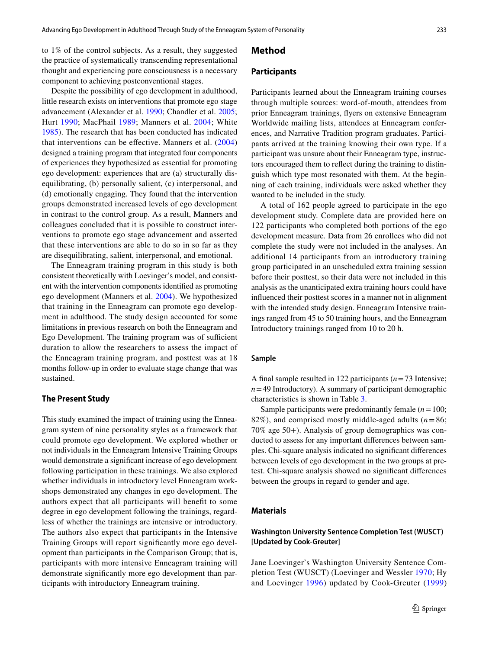to 1% of the control subjects. As a result, they suggested the practice of systematically transcending representational thought and experiencing pure consciousness is a necessary component to achieving postconventional stages.

Despite the possibility of ego development in adulthood, little research exists on interventions that promote ego stage advancement (Alexander et al. [1990;](#page-10-25) Chandler et al. [2005](#page-10-7); Hurt [1990;](#page-10-26) MacPhail [1989](#page-11-30); Manners et al. [2004](#page-11-3); White [1985](#page-12-6)). The research that has been conducted has indicated that interventions can be effective. Manners et al. [\(2004\)](#page-11-3) designed a training program that integrated four components of experiences they hypothesized as essential for promoting ego development: experiences that are (a) structurally disequilibrating, (b) personally salient, (c) interpersonal, and (d) emotionally engaging. They found that the intervention groups demonstrated increased levels of ego development in contrast to the control group. As a result, Manners and colleagues concluded that it is possible to construct interventions to promote ego stage advancement and asserted that these interventions are able to do so in so far as they are disequilibrating, salient, interpersonal, and emotional.

The Enneagram training program in this study is both consistent theoretically with Loevinger's model, and consistent with the intervention components identified as promoting ego development (Manners et al. [2004\)](#page-11-3). We hypothesized that training in the Enneagram can promote ego development in adulthood. The study design accounted for some limitations in previous research on both the Enneagram and Ego Development. The training program was of sufficient duration to allow the researchers to assess the impact of the Enneagram training program, and posttest was at 18 months follow-up in order to evaluate stage change that was sustained.

### **The Present Study**

This study examined the impact of training using the Enneagram system of nine personality styles as a framework that could promote ego development. We explored whether or not individuals in the Enneagram Intensive Training Groups would demonstrate a significant increase of ego development following participation in these trainings. We also explored whether individuals in introductory level Enneagram workshops demonstrated any changes in ego development. The authors expect that all participants will benefit to some degree in ego development following the trainings, regardless of whether the trainings are intensive or introductory. The authors also expect that participants in the Intensive Training Groups will report significantly more ego development than participants in the Comparison Group; that is, participants with more intensive Enneagram training will demonstrate significantly more ego development than participants with introductory Enneagram training.

#### **Method**

## **Participants**

Participants learned about the Enneagram training courses through multiple sources: word-of-mouth, attendees from prior Enneagram trainings, flyers on extensive Enneagram Worldwide mailing lists, attendees at Enneagram conferences, and Narrative Tradition program graduates. Participants arrived at the training knowing their own type. If a participant was unsure about their Enneagram type, instructors encouraged them to reflect during the training to distinguish which type most resonated with them. At the beginning of each training, individuals were asked whether they wanted to be included in the study.

A total of 162 people agreed to participate in the ego development study. Complete data are provided here on 122 participants who completed both portions of the ego development measure. Data from 26 enrollees who did not complete the study were not included in the analyses. An additional 14 participants from an introductory training group participated in an unscheduled extra training session before their posttest, so their data were not included in this analysis as the unanticipated extra training hours could have influenced their posttest scores in a manner not in alignment with the intended study design. Enneagram Intensive trainings ranged from 45 to 50 training hours, and the Enneagram Introductory trainings ranged from 10 to 20 h.

#### **Sample**

A final sample resulted in 122 participants (*n*=73 Intensive;  $n=49$  Introductory). A summary of participant demographic characteristics is shown in Table [3.](#page-5-0)

Sample participants were predominantly female (*n*=100; 82%), and comprised mostly middle-aged adults  $(n=86;$ 70% age 50+). Analysis of group demographics was conducted to assess for any important differences between samples. Chi-square analysis indicated no significant differences between levels of ego development in the two groups at pretest. Chi-square analysis showed no significant differences between the groups in regard to gender and age.

## **Materials**

## **Washington University Sentence Completion Test (WUSCT) [Updated by Cook‑Greuter]**

Jane Loevinger's Washington University Sentence Completion Test (WUSCT) (Loevinger and Wessler [1970](#page-11-31); Hy and Loevinger [1996](#page-10-10)) updated by Cook-Greuter [\(1999](#page-10-5))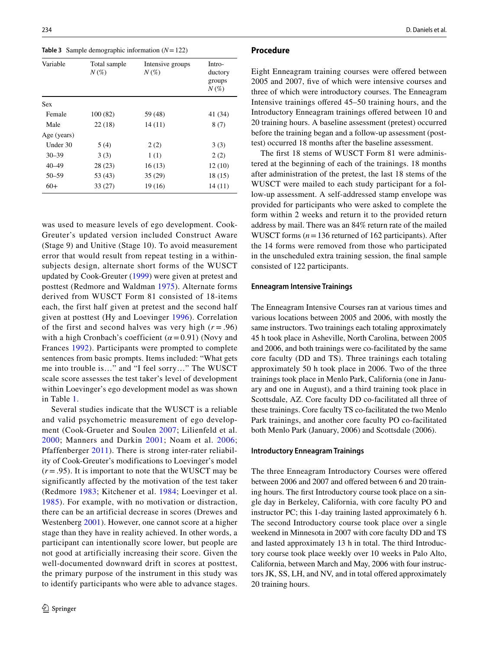<span id="page-5-0"></span>**Table 3** Sample demographic information (*N*=122)

| Variable    | Total sample<br>$N(\%)$ | Intensive groups<br>$N(\%)$ | Intro-<br>ductory<br>groups<br>$N\left(\%\right)$ |
|-------------|-------------------------|-----------------------------|---------------------------------------------------|
| <b>Sex</b>  |                         |                             |                                                   |
| Female      | 100(82)                 | 59 (48)                     | 41 (34)                                           |
| Male        | 22(18)                  | 14(11)                      | 8(7)                                              |
| Age (years) |                         |                             |                                                   |
| Under 30    | 5(4)                    | 2(2)                        | 3(3)                                              |
| $30 - 39$   | 3(3)                    | 1(1)                        | 2(2)                                              |
| $40 - 49$   | 28(23)                  | 16(13)                      | 12(10)                                            |
| $50 - 59$   | 53 (43)                 | 35(29)                      | 18(15)                                            |
| $60+$       | 33(27)                  | 19(16)                      | 14(11)                                            |

was used to measure levels of ego development. Cook-Greuter's updated version included Construct Aware (Stage 9) and Unitive (Stage 10). To avoid measurement error that would result from repeat testing in a withinsubjects design, alternate short forms of the WUSCT updated by Cook-Greuter ([1999\)](#page-10-5) were given at pretest and posttest (Redmore and Waldman [1975](#page-11-32)). Alternate forms derived from WUSCT Form 81 consisted of 18-items each, the first half given at pretest and the second half given at posttest (Hy and Loevinger [1996\)](#page-10-10). Correlation of the first and second halves was very high  $(r = .96)$ with a high Cronbach's coefficient  $(a=0.91)$  (Novy and Frances [1992](#page-11-33)). Participants were prompted to complete sentences from basic prompts. Items included: "What gets me into trouble is…" and "I feel sorry…" The WUSCT scale score assesses the test taker's level of development within Loevinger's ego development model as was shown in Table [1](#page-1-0).

Several studies indicate that the WUSCT is a reliable and valid psychometric measurement of ego development (Cook-Grueter and Soulen [2007](#page-10-27); Lilienfeld et al. [2000;](#page-11-34) Manners and Durkin [2001;](#page-11-9) Noam et al. [2006](#page-11-12); Pfaffenberger [2011\)](#page-11-35). There is strong inter-rater reliability of Cook-Greuter's modifications to Loevinger's model  $(r = .95)$ . It is important to note that the WUSCT may be significantly affected by the motivation of the test taker (Redmore [1983;](#page-11-36) Kitchener et al. [1984](#page-11-37); Loevinger et al. [1985](#page-11-28)). For example, with no motivation or distraction, there can be an artificial decrease in scores (Drewes and Westenberg [2001\)](#page-10-28). However, one cannot score at a higher stage than they have in reality achieved. In other words, a participant can intentionally score lower, but people are not good at artificially increasing their score. Given the well-documented downward drift in scores at posttest, the primary purpose of the instrument in this study was to identify participants who were able to advance stages.

#### **Procedure**

Eight Enneagram training courses were offered between 2005 and 2007, five of which were intensive courses and three of which were introductory courses. The Enneagram Intensive trainings offered 45–50 training hours, and the Introductory Enneagram trainings offered between 10 and 20 training hours. A baseline assessment (pretest) occurred before the training began and a follow-up assessment (posttest) occurred 18 months after the baseline assessment.

The first 18 stems of WUSCT Form 81 were administered at the beginning of each of the trainings. 18 months after administration of the pretest, the last 18 stems of the WUSCT were mailed to each study participant for a follow-up assessment. A self-addressed stamp envelope was provided for participants who were asked to complete the form within 2 weeks and return it to the provided return address by mail. There was an 84% return rate of the mailed WUSCT forms (*n*=136 returned of 162 participants). After the 14 forms were removed from those who participated in the unscheduled extra training session, the final sample consisted of 122 participants.

#### **Enneagram Intensive Trainings**

The Enneagram Intensive Courses ran at various times and various locations between 2005 and 2006, with mostly the same instructors. Two trainings each totaling approximately 45 h took place in Asheville, North Carolina, between 2005 and 2006, and both trainings were co-facilitated by the same core faculty (DD and TS). Three trainings each totaling approximately 50 h took place in 2006. Two of the three trainings took place in Menlo Park, California (one in January and one in August), and a third training took place in Scottsdale, AZ. Core faculty DD co-facilitated all three of these trainings. Core faculty TS co-facilitated the two Menlo Park trainings, and another core faculty PO co-facilitated both Menlo Park (January, 2006) and Scottsdale (2006).

#### **Introductory Enneagram Trainings**

The three Enneagram Introductory Courses were offered between 2006 and 2007 and offered between 6 and 20 training hours. The first Introductory course took place on a single day in Berkeley, California, with core faculty PO and instructor PC; this 1-day training lasted approximately 6 h. The second Introductory course took place over a single weekend in Minnesota in 2007 with core faculty DD and TS and lasted approximately 13 h in total. The third Introductory course took place weekly over 10 weeks in Palo Alto, California, between March and May, 2006 with four instructors JK, SS, LH, and NV, and in total offered approximately 20 training hours.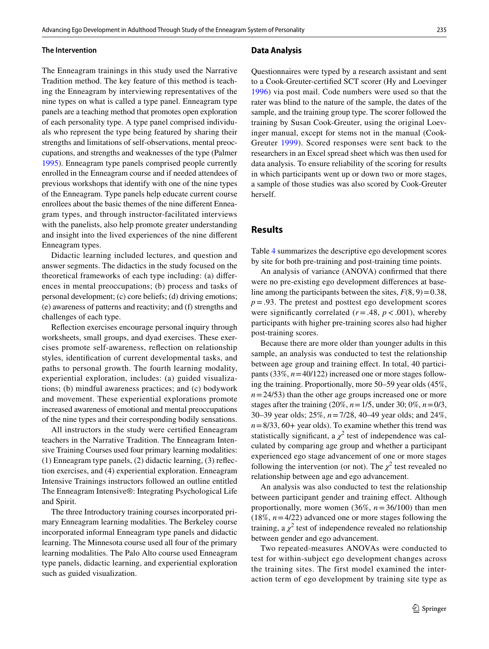#### **The Intervention**

The Enneagram trainings in this study used the Narrative Tradition method. The key feature of this method is teaching the Enneagram by interviewing representatives of the nine types on what is called a type panel. Enneagram type panels are a teaching method that promotes open exploration of each personality type. A type panel comprised individuals who represent the type being featured by sharing their strengths and limitations of self-observations, mental preoccupations, and strengths and weaknesses of the type (Palmer [1995](#page-11-17)). Enneagram type panels comprised people currently enrolled in the Enneagram course and if needed attendees of previous workshops that identify with one of the nine types of the Enneagram. Type panels help educate current course enrollees about the basic themes of the nine different Enneagram types, and through instructor-facilitated interviews with the panelists, also help promote greater understanding and insight into the lived experiences of the nine different Enneagram types.

Didactic learning included lectures, and question and answer segments. The didactics in the study focused on the theoretical frameworks of each type including: (a) differences in mental preoccupations; (b) process and tasks of personal development; (c) core beliefs; (d) driving emotions; (e) awareness of patterns and reactivity; and (f) strengths and challenges of each type.

Reflection exercises encourage personal inquiry through worksheets, small groups, and dyad exercises. These exercises promote self-awareness, reflection on relationship styles, identification of current developmental tasks, and paths to personal growth. The fourth learning modality, experiential exploration, includes: (a) guided visualizations; (b) mindful awareness practices; and (c) bodywork and movement. These experiential explorations promote increased awareness of emotional and mental preoccupations of the nine types and their corresponding bodily sensations.

All instructors in the study were certified Enneagram teachers in the Narrative Tradition. The Enneagram Intensive Training Courses used four primary learning modalities: (1) Enneagram type panels, (2) didactic learning, (3) reflection exercises, and (4) experiential exploration. Enneagram Intensive Trainings instructors followed an outline entitled The Enneagram Intensive®: Integrating Psychological Life and Spirit.

The three Introductory training courses incorporated primary Enneagram learning modalities. The Berkeley course incorporated informal Enneagram type panels and didactic learning. The Minnesota course used all four of the primary learning modalities. The Palo Alto course used Enneagram type panels, didactic learning, and experiential exploration such as guided visualization.

#### **Data Analysis**

Questionnaires were typed by a research assistant and sent to a Cook-Greuter-certified SCT scorer (Hy and Loevinger [1996\)](#page-10-10) via post mail. Code numbers were used so that the rater was blind to the nature of the sample, the dates of the sample, and the training group type. The scorer followed the training by Susan Cook-Greuter, using the original Loevinger manual, except for stems not in the manual (Cook-Greuter [1999](#page-10-5)). Scored responses were sent back to the researchers in an Excel spread sheet which was then used for data analysis. To ensure reliability of the scoring for results in which participants went up or down two or more stages, a sample of those studies was also scored by Cook-Greuter herself.

## **Results**

Table [4](#page-7-0) summarizes the descriptive ego development scores by site for both pre-training and post-training time points.

An analysis of variance (ANOVA) confirmed that there were no pre-existing ego development differences at baseline among the participants between the sites,  $F(8, 9) = 0.38$ , *p*=.93. The pretest and posttest ego development scores were significantly correlated  $(r = .48, p < .001)$ , whereby participants with higher pre-training scores also had higher post-training scores.

Because there are more older than younger adults in this sample, an analysis was conducted to test the relationship between age group and training effect. In total, 40 participants (33%, *n*=40/122) increased one or more stages following the training. Proportionally, more 50–59 year olds (45%,  $n=24/53$ ) than the other age groups increased one or more stages after the training (20%, *n*=1/5, under 30; 0%, *n*=0/3, 30–39 year olds; 25%, *n*=7/28, 40–49 year olds; and 24%,  $n=8/33$ , 60+ year olds). To examine whether this trend was statistically significant, a  $\chi^2$  test of independence was calculated by comparing age group and whether a participant experienced ego stage advancement of one or more stages following the intervention (or not). The  $\chi^2$  test revealed no relationship between age and ego advancement.

An analysis was also conducted to test the relationship between participant gender and training effect. Although proportionally, more women (36%, *n*=36/100) than men (18%, *n*=4/22) advanced one or more stages following the training, a  $\chi^2$  test of independence revealed no relationship between gender and ego advancement.

Two repeated-measures ANOVAs were conducted to test for within-subject ego development changes across the training sites. The first model examined the interaction term of ego development by training site type as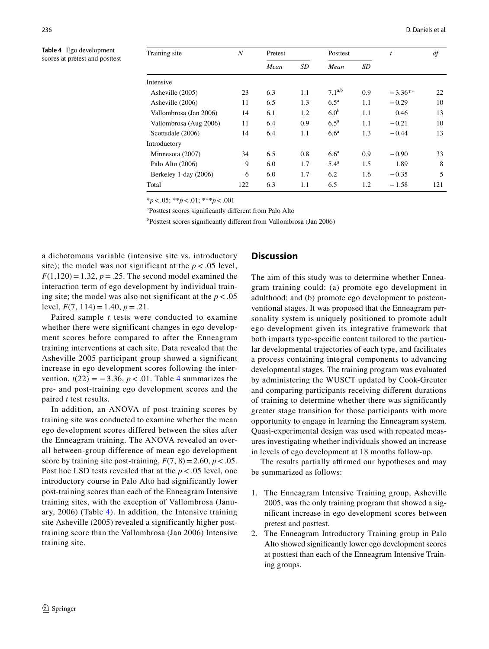<span id="page-7-0"></span>**Table 4** Ego development scores at pretest and posttest

| Training site          | N   | Pretest |     | Posttest           |     | $\boldsymbol{t}$ | df  |
|------------------------|-----|---------|-----|--------------------|-----|------------------|-----|
|                        |     | Mean    | SD  | Mean               | SD  |                  |     |
| Intensive              |     |         |     |                    |     |                  |     |
| Asheville (2005)       | 23  | 6.3     | 1.1 | $7.1^{a,b}$        | 0.9 | $-3.36**$        | 22  |
| Asheville (2006)       | 11  | 6.5     | 1.3 | $6.5^{\mathrm{a}}$ | 1.1 | $-0.29$          | 10  |
| Vallombrosa (Jan 2006) | 14  | 6.1     | 1.2 | 6.0 <sup>b</sup>   | 1.1 | 0.46             | 13  |
| Vallombrosa (Aug 2006) | 11  | 6.4     | 0.9 | $6.5^{\mathrm{a}}$ | 1.1 | $-0.21$          | 10  |
| Scottsdale (2006)      | 14  | 6.4     | 1.1 | 6.6 <sup>a</sup>   | 1.3 | $-0.44$          | 13  |
| Introductory           |     |         |     |                    |     |                  |     |
| Minnesota (2007)       | 34  | 6.5     | 0.8 | 6.6 <sup>a</sup>   | 0.9 | $-0.90$          | 33  |
| Palo Alto (2006)       | 9   | 6.0     | 1.7 | 5.4 <sup>a</sup>   | 1.5 | 1.89             | 8   |
| Berkeley 1-day (2006)  | 6   | 6.0     | 1.7 | 6.2                | 1.6 | $-0.35$          | 5   |
| Total                  | 122 | 6.3     | 1.1 | 6.5                | 1.2 | $-1.58$          | 121 |

\**p*<.05; \*\**p*<.01; \*\*\**p*<.001

a Posttest scores significantly different from Palo Alto

b Posttest scores significantly different from Vallombrosa (Jan 2006)

a dichotomous variable (intensive site vs. introductory site); the model was not significant at the  $p < .05$  level,  $F(1,120) = 1.32$ ,  $p = .25$ . The second model examined the interaction term of ego development by individual training site; the model was also not significant at the  $p < .05$ level,  $F(7, 114) = 1.40, p = .21$ .

Paired sample *t* tests were conducted to examine whether there were significant changes in ego development scores before compared to after the Enneagram training interventions at each site. Data revealed that the Asheville 2005 participant group showed a significant increase in ego development scores following the intervention,  $t(22) = -3.36$ ,  $p < .01$ . Table [4](#page-7-0) summarizes the pre- and post-training ego development scores and the paired *t* test results.

In addition, an ANOVA of post-training scores by training site was conducted to examine whether the mean ego development scores differed between the sites after the Enneagram training. The ANOVA revealed an overall between-group difference of mean ego development score by training site post-training,  $F(7, 8) = 2.60, p < .05$ . Post hoc LSD tests revealed that at the *p* < .05 level, one introductory course in Palo Alto had significantly lower post-training scores than each of the Enneagram Intensive training sites, with the exception of Vallombrosa (January, 2006) (Table [4](#page-7-0)). In addition, the Intensive training site Asheville (2005) revealed a significantly higher posttraining score than the Vallombrosa (Jan 2006) Intensive training site.

### **Discussion**

The aim of this study was to determine whether Enneagram training could: (a) promote ego development in adulthood; and (b) promote ego development to postconventional stages. It was proposed that the Enneagram personality system is uniquely positioned to promote adult ego development given its integrative framework that both imparts type-specific content tailored to the particular developmental trajectories of each type, and facilitates a process containing integral components to advancing developmental stages. The training program was evaluated by administering the WUSCT updated by Cook-Greuter and comparing participants receiving different durations of training to determine whether there was significantly greater stage transition for those participants with more opportunity to engage in learning the Enneagram system. Quasi-experimental design was used with repeated measures investigating whether individuals showed an increase in levels of ego development at 18 months follow-up.

The results partially affirmed our hypotheses and may be summarized as follows:

- 1. The Enneagram Intensive Training group, Asheville 2005, was the only training program that showed a significant increase in ego development scores between pretest and posttest.
- 2. The Enneagram Introductory Training group in Palo Alto showed significantly lower ego development scores at posttest than each of the Enneagram Intensive Training groups.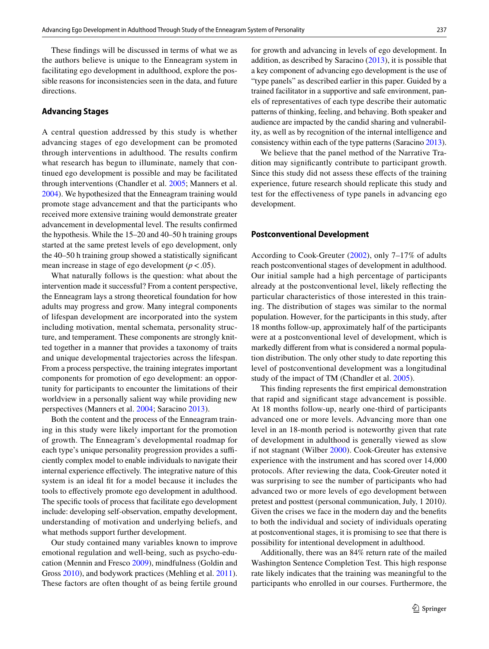These findings will be discussed in terms of what we as the authors believe is unique to the Enneagram system in facilitating ego development in adulthood, explore the possible reasons for inconsistencies seen in the data, and future directions.

#### **Advancing Stages**

A central question addressed by this study is whether advancing stages of ego development can be promoted through interventions in adulthood. The results confirm what research has begun to illuminate, namely that continued ego development is possible and may be facilitated through interventions (Chandler et al. [2005](#page-10-7); Manners et al. [2004](#page-11-3)). We hypothesized that the Enneagram training would promote stage advancement and that the participants who received more extensive training would demonstrate greater advancement in developmental level. The results confirmed the hypothesis. While the 15–20 and 40–50 h training groups started at the same pretest levels of ego development, only the 40–50 h training group showed a statistically significant mean increase in stage of ego development ( $p < .05$ ).

What naturally follows is the question: what about the intervention made it successful? From a content perspective, the Enneagram lays a strong theoretical foundation for how adults may progress and grow. Many integral components of lifespan development are incorporated into the system including motivation, mental schemata, personality structure, and temperament. These components are strongly knitted together in a manner that provides a taxonomy of traits and unique developmental trajectories across the lifespan. From a process perspective, the training integrates important components for promotion of ego development: an opportunity for participants to encounter the limitations of their worldview in a personally salient way while providing new perspectives (Manners et al. [2004;](#page-11-3) Saracino [2013\)](#page-11-24).

Both the content and the process of the Enneagram training in this study were likely important for the promotion of growth. The Enneagram's developmental roadmap for each type's unique personality progression provides a sufficiently complex model to enable individuals to navigate their internal experience effectively. The integrative nature of this system is an ideal fit for a model because it includes the tools to effectively promote ego development in adulthood. The specific tools of process that facilitate ego development include: developing self-observation, empathy development, understanding of motivation and underlying beliefs, and what methods support further development.

Our study contained many variables known to improve emotional regulation and well-being, such as psycho-education (Mennin and Fresco [2009](#page-11-38)), mindfulness (Goldin and Gross [2010\)](#page-10-29), and bodywork practices (Mehling et al. [2011](#page-11-39)). These factors are often thought of as being fertile ground for growth and advancing in levels of ego development. In addition, as described by Saracino ([2013\)](#page-11-24), it is possible that a key component of advancing ego development is the use of "type panels" as described earlier in this paper. Guided by a trained facilitator in a supportive and safe environment, panels of representatives of each type describe their automatic patterns of thinking, feeling, and behaving. Both speaker and audience are impacted by the candid sharing and vulnerability, as well as by recognition of the internal intelligence and consistency within each of the type patterns (Saracino [2013](#page-11-24)).

We believe that the panel method of the Narrative Tradition may significantly contribute to participant growth. Since this study did not assess these effects of the training experience, future research should replicate this study and test for the effectiveness of type panels in advancing ego development.

#### **Postconventional Development**

According to Cook-Greuter [\(2002\)](#page-10-15), only 7–17% of adults reach postconventional stages of development in adulthood. Our initial sample had a high percentage of participants already at the postconventional level, likely reflecting the particular characteristics of those interested in this training. The distribution of stages was similar to the normal population. However, for the participants in this study, after 18 months follow-up, approximately half of the participants were at a postconventional level of development, which is markedly different from what is considered a normal population distribution. The only other study to date reporting this level of postconventional development was a longitudinal study of the impact of TM (Chandler et al. [2005](#page-10-7)).

This finding represents the first empirical demonstration that rapid and significant stage advancement is possible. At 18 months follow-up, nearly one-third of participants advanced one or more levels. Advancing more than one level in an 18-month period is noteworthy given that rate of development in adulthood is generally viewed as slow if not stagnant (Wilber [2000](#page-12-7)). Cook-Greuter has extensive experience with the instrument and has scored over 14,000 protocols. After reviewing the data, Cook-Greuter noted it was surprising to see the number of participants who had advanced two or more levels of ego development between pretest and posttest (personal communication, July, 1 2010*)*. Given the crises we face in the modern day and the benefits to both the individual and society of individuals operating at postconventional stages, it is promising to see that there is possibility for intentional development in adulthood.

Additionally, there was an 84% return rate of the mailed Washington Sentence Completion Test. This high response rate likely indicates that the training was meaningful to the participants who enrolled in our courses. Furthermore, the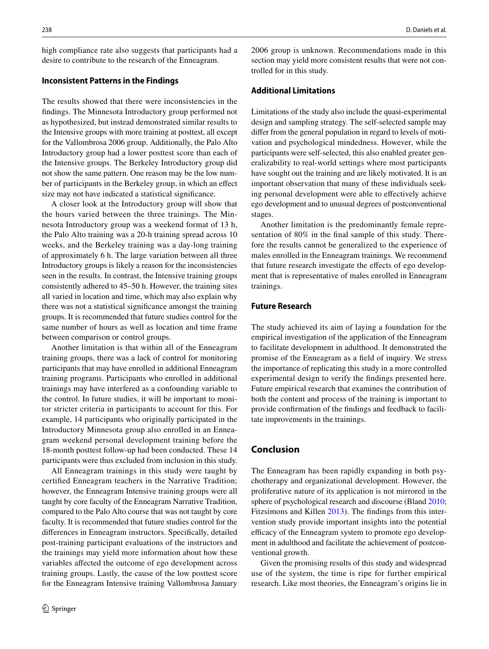high compliance rate also suggests that participants had a desire to contribute to the research of the Enneagram.

### **Inconsistent Patterns in the Findings**

The results showed that there were inconsistencies in the findings. The Minnesota Introductory group performed not as hypothesized, but instead demonstrated similar results to the Intensive groups with more training at posttest, all except for the Vallombrosa 2006 group. Additionally, the Palo Alto Introductory group had a lower posttest score than each of the Intensive groups. The Berkeley Introductory group did not show the same pattern. One reason may be the low number of participants in the Berkeley group, in which an effect size may not have indicated a statistical significance.

A closer look at the Introductory group will show that the hours varied between the three trainings. The Minnesota Introductory group was a weekend format of 13 h, the Palo Alto training was a 20-h training spread across 10 weeks, and the Berkeley training was a day-long training of approximately 6 h. The large variation between all three Introductory groups is likely a reason for the inconsistencies seen in the results. In contrast, the Intensive training groups consistently adhered to 45–50 h. However, the training sites all varied in location and time, which may also explain why there was not a statistical significance amongst the training groups. It is recommended that future studies control for the same number of hours as well as location and time frame between comparison or control groups.

Another limitation is that within all of the Enneagram training groups, there was a lack of control for monitoring participants that may have enrolled in additional Enneagram training programs. Participants who enrolled in additional trainings may have interfered as a confounding variable to the control. In future studies, it will be important to monitor stricter criteria in participants to account for this. For example, 14 participants who originally participated in the Introductory Minnesota group also enrolled in an Enneagram weekend personal development training before the 18-month posttest follow-up had been conducted. These 14 participants were thus excluded from inclusion in this study.

All Enneagram trainings in this study were taught by certified Enneagram teachers in the Narrative Tradition; however, the Enneagram Intensive training groups were all taught by core faculty of the Enneagram Narrative Tradition, compared to the Palo Alto course that was not taught by core faculty. It is recommended that future studies control for the differences in Enneagram instructors. Specifically, detailed post-training participant evaluations of the instructors and the trainings may yield more information about how these variables affected the outcome of ego development across training groups. Lastly, the cause of the low posttest score for the Enneagram Intensive training Vallombrosa January 2006 group is unknown. Recommendations made in this section may yield more consistent results that were not controlled for in this study.

## **Additional Limitations**

Limitations of the study also include the quasi-experimental design and sampling strategy. The self-selected sample may differ from the general population in regard to levels of motivation and psychological mindedness. However, while the participants were self-selected, this also enabled greater generalizability to real-world settings where most participants have sought out the training and are likely motivated. It is an important observation that many of these individuals seeking personal development were able to effectively achieve ego development and to unusual degrees of postconventional stages.

Another limitation is the predominantly female representation of 80% in the final sample of this study. Therefore the results cannot be generalized to the experience of males enrolled in the Enneagram trainings. We recommend that future research investigate the effects of ego development that is representative of males enrolled in Enneagram trainings.

#### **Future Research**

The study achieved its aim of laying a foundation for the empirical investigation of the application of the Enneagram to facilitate development in adulthood. It demonstrated the promise of the Enneagram as a field of inquiry. We stress the importance of replicating this study in a more controlled experimental design to verify the findings presented here. Future empirical research that examines the contribution of both the content and process of the training is important to provide confirmation of the findings and feedback to facilitate improvements in the trainings.

## **Conclusion**

The Enneagram has been rapidly expanding in both psychotherapy and organizational development. However, the proliferative nature of its application is not mirrored in the sphere of psychological research and discourse (Bland [2010](#page-10-0); Fitzsimons and Killen [2013](#page-10-3)). The findings from this intervention study provide important insights into the potential efficacy of the Enneagram system to promote ego development in adulthood and facilitate the achievement of postconventional growth.

Given the promising results of this study and widespread use of the system, the time is ripe for further empirical research. Like most theories, the Enneagram's origins lie in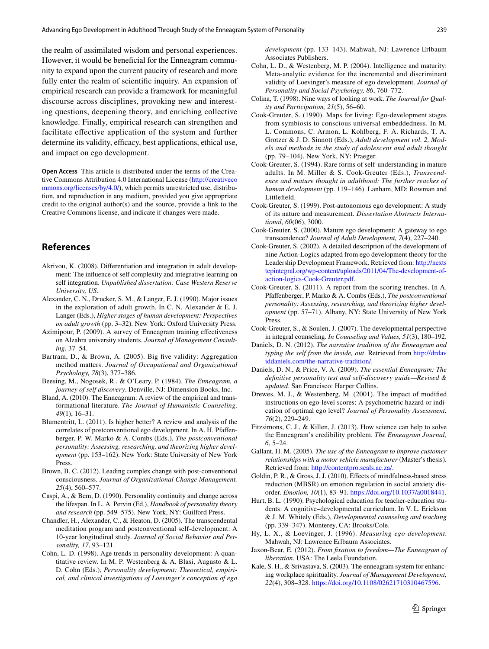the realm of assimilated wisdom and personal experiences. However, it would be beneficial for the Enneagram community to expand upon the current paucity of research and more fully enter the realm of scientific inquiry. An expansion of empirical research can provide a framework for meaningful discourse across disciplines, provoking new and interesting questions, deepening theory, and enriching collective knowledge. Finally, empirical research can strengthen and facilitate effective application of the system and further determine its validity, efficacy, best applications, ethical use, and impact on ego development.

**Open Access** This article is distributed under the terms of the Creative Commons Attribution 4.0 International License [\(http://creativeco](http://creativecommons.org/licenses/by/4.0/) [mmons.org/licenses/by/4.0/](http://creativecommons.org/licenses/by/4.0/)), which permits unrestricted use, distribution, and reproduction in any medium, provided you give appropriate credit to the original author(s) and the source, provide a link to the Creative Commons license, and indicate if changes were made.

## **References**

- <span id="page-10-13"></span>Akrivou, K. (2008). Differentiation and integration in adult development: The influence of self complexity and integrative learning on self integration. *Unpublished dissertation: Case Western Reserve University, US*.
- <span id="page-10-25"></span>Alexander, C. N., Drucker, S. M., & Langer, E. J. (1990). Major issues in the exploration of adult growth. In C. N. Alexander & E. J. Langer (Eds.), *Higher stages of human development: Perspectives on adult growth* (pp. 3–32). New York: Oxford University Press.
- <span id="page-10-22"></span>Azimipour, P. (2009). A survey of Enneagram training effectiveness on Alzahra university students. *Journal of Management Consulting*, 37–54.
- <span id="page-10-21"></span>Bartram, D., & Brown, A. (2005). Big five validity: Aggregation method matters. *Journal of Occupational and Organizational Psychology, 78*(3), 377–386.
- <span id="page-10-18"></span>Beesing, M., Nogosek, R., & O'Leary, P. (1984). *The Enneagram, a journey of self discovery*. Denville, NJ: Dimension Books, Inc.
- <span id="page-10-0"></span>Bland, A. (2010). The Enneagram: A review of the empirical and transformational literature. *The Journal of Humanistic Counseling, 49*(1), 16–31.
- <span id="page-10-17"></span>Blumentritt, L. (2011). Is higher better? A review and analysis of the correlates of postconventional ego development. In A. H. Pfaffenberger, P. W. Marko & A. Combs (Eds.), *The postconventional personality: Assessing, researching, and theorizing higher development* (pp. 153–162). New York: State University of New York Press.
- <span id="page-10-8"></span>Brown, B. C. (2012). Leading complex change with post-conventional consciousness. *Journal of Organizational Change Management, 25*(4), 560–577.
- <span id="page-10-23"></span>Caspi, A., & Bem, D. (1990). Personality continuity and change across the lifespan. In L. A. Pervin (Ed.), *Handbook of personality theory and research* (pp. 549–575). New York, NY: Guilford Press.
- <span id="page-10-7"></span>Chandler, H., Alexander, C., & Heaton, D. (2005). The transcendental meditation program and postconventional self-development: A 10-year longitudinal study. *Journal of Social Behavior and Personality, 17*, 93–121.
- <span id="page-10-24"></span>Cohn, L. D. (1998). Age trends in personality development: A quantitative review. In M. P. Westenberg & A. Blasi, Augusto & L. D. Cohn (Eds.), *Personality development: Theoretical, empirical, and clinical investigations of Loevinger's conception of ego*

*development* (pp. 133–143). Mahwah, NJ: Lawrence Erlbaum Associates Publishers.

- <span id="page-10-11"></span>Cohn, L. D., & Westenberg, M. P. (2004). Intelligence and maturity: Meta-analytic evidence for the incremental and discriminant validity of Loevinger's measure of ego development. *Journal of Personality and Social Psychology, 86*, 760–772.
- <span id="page-10-19"></span>Colina, T. (1998). Nine ways of looking at work. *The Journal for Quality and Participation, 21*(5), 56–60.
- <span id="page-10-9"></span>Cook-Greuter, S. (1990). Maps for living: Ego-development stages from symbiosis to conscious universal embeddedness. In M. L. Commons, C. Armon, L. Kohlberg, F. A. Richards, T. A. Grotzer & J. D. Sinnott (Eds.), *Adult development vol. 2, Models and methods in the study of adolescent and adult thought* (pp. 79–104). New York, NY: Praeger.
- <span id="page-10-12"></span>Cook-Greuter, S. (1994). Rare forms of self-understanding in mature adults. In M. Miller & S. Cook-Greuter (Eds.), *Transcendence and mature thought in adulthood: The further reaches of human development* (pp. 119–146). Lanham, MD: Rowman and Littlefield.
- <span id="page-10-5"></span>Cook-Greuter, S. (1999). Post-autonomous ego development: A study of its nature and measurement. *Dissertation Abstracts International, 60*(06), 3000.
- <span id="page-10-14"></span>Cook-Greuter, S. (2000). Mature ego development: A gateway to ego transcendence? *Journal of Adult Development, 7*(4), 227–240.
- <span id="page-10-15"></span>Cook-Greuter, S. (2002). A detailed description of the development of nine Action-Logics adapted from ego development theory for the Leadership Development Framework. Retrieved from: [http://nexts](http://nextstepintegral.org/wp-content/uploads/2011/04/The-development-of-action-logics-Cook-Greuter.pdf) [tepintegral.org/wp-content/uploads/2011/04/The-development-of](http://nextstepintegral.org/wp-content/uploads/2011/04/The-development-of-action-logics-Cook-Greuter.pdf)[action-logics-Cook-Greuter.pdf.](http://nextstepintegral.org/wp-content/uploads/2011/04/The-development-of-action-logics-Cook-Greuter.pdf)
- <span id="page-10-6"></span>Cook-Greuter, S. (2011). A report from the scoring trenches. In A. Pfaffenberger, P. Marko & A. Combs (Eds.), *The postconventional personality: Assessing, researching, and theorizing higher development* (pp. 57–71). Albany, NY: State University of New York Press.
- <span id="page-10-27"></span>Cook-Greuter, S., & Soulen, J. (2007). The developmental perspective in integral counseling. *In Counseling and Values, 51*(3), 180–192.
- <span id="page-10-1"></span>Daniels, D. N. (2012). *The narrative tradition of the Enneagram and typing the self from the inside, out*. Retrieved from [http://drdav](http://drdaviddaniels.com/the-narrative-tradition/) [iddaniels.com/the-narrative-tradition/](http://drdaviddaniels.com/the-narrative-tradition/).
- <span id="page-10-4"></span>Daniels, D. N., & Price, V. A. (2009). *The essential Enneagram: The definitive personality test and self-discovery guide—Revised & updated*. San Francisco: Harper Collins.
- <span id="page-10-28"></span>Drewes, M. J., & Westenberg, M. (2001). The impact of modified instructions on ego-level scores: A psychometric hazard or indication of optimal ego level? *Journal of Personality Assessment, 76*(2), 229–249.
- <span id="page-10-3"></span>Fitzsimons, C. J., & Killen, J. (2013). How science can help to solve the Enneagram's credibility problem. *The Enneagram Journal, 6*, 5–24.
- <span id="page-10-2"></span>Gallant, H. M. (2005). *The use of the Enneagram to improve customer relationships with a motor vehicle manufacturer* (Master's thesis). Retrieved from: [http://contentpro.seals.ac.za/.](http://contentpro.seals.ac.za/)
- <span id="page-10-29"></span>Goldin, P. R., & Gross, J. J. (2010). Effects of mindfulness-based stress reduction (MBSR) on emotion regulation in social anxiety disorder. *Emotion, 10*(1), 83–91. [https://doi.org/10.1037/a0018441.](https://doi.org/10.1037/a0018441)
- <span id="page-10-26"></span>Hurt, B. L. (1990). Psychological education for teacher-education students: A cognitive–developmental curriculum. In V. L. Erickson & J. M. Whitely (Eds.), *Developmental counseling and teaching* (pp. 339–347). Monterey, CA: Brooks/Cole.
- <span id="page-10-10"></span>Hy, L. X., & Loevinger, J. (1996). *Measuring ego development*. Mahwah, NJ: Lawrence Erlbaum Associates.
- <span id="page-10-16"></span>Jaxon-Bear, E. (2012). *From fixation to freedom—The Enneagram of liberation*. USA: The Leela Foundation.
- <span id="page-10-20"></span>Kale, S. H., & Srivastava, S. (2003). The enneagram system for enhancing workplace spirituality. *Journal of Management Development, 22*(4), 308–328.<https://doi.org/10.1108/02621710310467596>.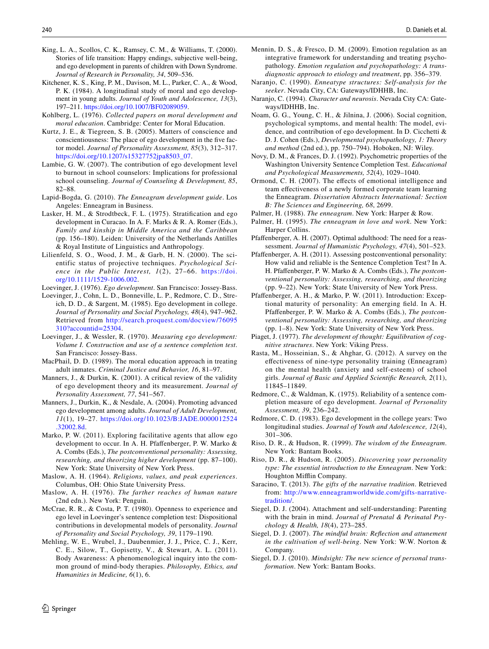- <span id="page-11-11"></span>King, L. A., Scollos, C. K., Ramsey, C. M., & Williams, T. (2000). Stories of life transition: Happy endings, subjective well-being, and ego development in parents of children with Down Syndrome. *Journal of Research in Personality, 34*, 509–536.
- <span id="page-11-37"></span>Kitchener, K. S., King, P. M., Davison, M. L., Parker, C. A., & Wood, P. K. (1984). A longitudinal study of moral and ego development in young adults. *Journal of Youth and Adolescence, 13*(3), 197–211.<https://doi.org/10.1007/BF02089059>.
- <span id="page-11-4"></span>Kohlberg, L. (1976). *Collected papers on moral development and moral education*. Cambridge: Center for Moral Education.
- <span id="page-11-2"></span>Kurtz, J. E., & Tiegreen, S. B. (2005). Matters of conscience and conscientiousness: The place of ego development in the five factor model. *Journal of Personality Assessment, 85*(3), 312–317. [https://doi.org/10.1207/s15327752jpa8503\\_07.](https://doi.org/10.1207/s15327752jpa8503_07)
- <span id="page-11-5"></span>Lambie, G. W. (2007). The contribution of ego development level to burnout in school counselors: Implications for professional school counseling. *Journal of Counseling & Development, 85*, 82–88.
- <span id="page-11-0"></span>Lapid-Bogda, G. (2010). *The Enneagram development guide*. Los Angeles: Enneagram in Business.
- <span id="page-11-29"></span>Lasker, H. M., & Strodtbeck, F. L. (1975). Stratification and ego development in Curacao. In A. F. Marks & R. A. Romer (Eds.), *Family and kinship in Middle America and the Caribbean* (pp. 156–180). Leiden: University of the Netherlands Antilles & Royal Institute of Linguistics and Anthropology.
- <span id="page-11-34"></span>Lilienfeld, S. O., Wood, J. M., & Garb, H. N. (2000). The scientific status of projective techniques. *Psychological Science in the Public Interest, 1*(2), 27–66. [https://doi.](https://doi.org/10.1111/1529-1006.002) [org/10.1111/1529-1006.002](https://doi.org/10.1111/1529-1006.002).
- <span id="page-11-1"></span>Loevinger, J. (1976). *Ego development*. San Francisco: Jossey-Bass.
- <span id="page-11-28"></span>Loevinger, J., Cohn, L. D., Bonneville, L. P., Redmore, C. D., Streich, D. D., & Sargent, M. (1985). Ego development in college. *Journal of Personality and Social Psychology, 48*(4), 947–962. Retrieved from [http://search.proquest.com/docview/76095](http://search.proquest.com/docview/76095310?accountid=25304) [310?accountid=25304.](http://search.proquest.com/docview/76095310?accountid=25304)
- <span id="page-11-31"></span>Loevinger, J., & Wessler, R. (1970). *Measuring ego development: Volume I. Construction and use of a sentence completion test*. San Francisco: Jossey-Bass.
- <span id="page-11-30"></span>MacPhail, D. D. (1989). The moral education approach in treating adult inmates. *Criminal Justice and Behavior, 16*, 81–97.
- <span id="page-11-9"></span>Manners, J., & Durkin, K. (2001). A critical review of the validity of ego development theory and its measurement. *Journal of Personality Assessment, 77*, 541–567.
- <span id="page-11-3"></span>Manners, J., Durkin, K., & Nesdale, A. (2004). Promoting advanced ego development among adults. *Journal of Adult Development, 11*(1), 19–27. [https://doi.org/10.1023/B:JADE.0000012524](https://doi.org/10.1023/B:JADE.0000012524.32002.8d) [.32002.8d](https://doi.org/10.1023/B:JADE.0000012524.32002.8d).
- <span id="page-11-26"></span>Marko, P. W. (2011). Exploring facilitative agents that allow ego development to occur. In A. H. Pfaffenberger, P. W. Marko & A. Combs (Eds.), *The postconventional personality: Assessing, researching, and theorizing higher development* (pp. 87–100). New York: State University of New York Press.
- <span id="page-11-10"></span>Maslow, A. H. (1964). *Religions, values, and peak experiences*. Columbus, OH: Ohio State University Press.
- <span id="page-11-13"></span>Maslow, A. H. (1976). *The farther reaches of human nature* (2nd edn.). New York: Penguin.
- <span id="page-11-27"></span>McCrae, R. R., & Costa, P. T. (1980). Openness to experience and ego level in Loevinger's sentence completion test: Dispositional contributions in developmental models of personality. *Journal of Personality and Social Psychology, 39*, 1179–1190.
- <span id="page-11-39"></span>Mehling, W. E., Wrubel, J., Daubenmier, J. J., Price, C. J., Kerr, C. E., Silow, T., Gopisetty, V., & Stewart, A. L. (2011). Body Awareness: A phenomenological inquiry into the common ground of mind-body therapies. *Philosophy, Ethics, and Humanities in Medicine, 6*(1), 6.
- <span id="page-11-38"></span>Mennin, D. S., & Fresco, D. M. (2009). Emotion regulation as an integrative framework for understanding and treating psychopathology. *Emotion regulation and psychopathology: A transdiagnostic approach to etiology and treatment*, pp. 356–379.
- <span id="page-11-14"></span>Naranjo, C. (1990). *Enneatype structures: Self-analysis for the seeker*. Nevada City, CA: Gateways/IDHHB, Inc.
- <span id="page-11-15"></span>Naranjo, C. (1994). *Character and neurosis*. Nevada City CA: Gateways/IDHHB, Inc.
- <span id="page-11-12"></span>Noam, G. G., Young, C. H., & Jilnina, J. (2006). Social cognition, psychological symptoms, and mental health: The model, evidence, and contribution of ego development. In D. Cicchetti & D. J. Cohen (Eds.), *Developmental psychopathology, 1: Theory and method* (2nd ed.), pp. 750–794). Hoboken, NJ: Wiley.
- <span id="page-11-33"></span>Novy, D. M., & Frances, D. J. (1992). Psychometric properties of the Washington University Sentence Completion Test. *Educational and Psychological Measurements, 52*(4), 1029–1040.
- <span id="page-11-22"></span>Ormond, C. H. (2007). The effects of emotional intelligence and team effectiveness of a newly formed corporate team learning the Enneagram. *Dissertation Abstracts International: Section B: The Sciences and Engineering, 68*, 2699.
- <span id="page-11-16"></span>Palmer, H. (1988). *The enneagram*. New York: Harper & Row.
- <span id="page-11-17"></span>Palmer, H. (1995). *The enneagram in love and work*. New York: Harper Collins.
- <span id="page-11-6"></span>Pfaffenberger, A. H. (2007). Optimal adulthood: The need for a reassessment. *Journal of Humanistic Psychology, 47*(4), 501–523.
- <span id="page-11-35"></span>Pfaffenberger, A. H. (2011). Assessing postconventional personality: How valid and reliable is the Sentence Completion Test? In A. H. Pfaffenberger, P. W. Marko & A. Combs (Eds.), *The postconventional personality: Assessing, researching, and theorizing* (pp. 9–22). New York: State University of New York Press.
- <span id="page-11-8"></span>Pfaffenberger, A. H., & Marko, P. W. (2011). Introduction: Exceptional maturity of personality: An emerging field. In A. H. Pfaffenberger, P. W. Marko & A. Combs (Eds.), *The postconventional personality: Assessing, researching, and theorizing* (pp. 1–8). New York: State University of New York Press.
- <span id="page-11-7"></span>Piaget, J. (1977). *The development of thought: Equilibration of cognitive structures*. New York: Viking Press.
- <span id="page-11-23"></span>Rasta, M., Hosseinian, S., & Ahghar, G. (2012). A survey on the effectiveness of nine-type personality training (Enneagram) on the mental health (anxiety and self-esteem) of school girls. *Journal of Basic and Applied Scientific Research, 2*(11), 11845–11849.
- <span id="page-11-32"></span>Redmore, C., & Waldman, K. (1975). Reliability of a sentence completion measure of ego development. *Journal of Personality Assessment, 39*, 236–242.
- <span id="page-11-36"></span>Redmore, C. D. (1983). Ego development in the college years: Two longitudinal studies. *Journal of Youth and Adolescence, 12*(4), 301–306.
- <span id="page-11-18"></span>Riso, D. R., & Hudson, R. (1999). *The wisdom of the Enneagram*. New York: Bantam Books.
- <span id="page-11-19"></span>Riso, D. R., & Hudson, R. (2005). *Discovering your personality type: The essential introduction to the Enneagram*. New York: Houghton Mifflin Company.
- <span id="page-11-24"></span>Saracino, T. (2013). *The gifts of the narrative tradition*. Retrieved from: [http://www.enneagramworldwide.com/gifts-narrative](http://www.enneagramworldwide.com/gifts-narrative-tradition/)[tradition/.](http://www.enneagramworldwide.com/gifts-narrative-tradition/)
- <span id="page-11-20"></span>Siegel, D. J. (2004). Attachment and self-understanding: Parenting with the brain in mind. *Journal of Prenatal & Perinatal Psychology & Health, 18*(4), 273–285.
- <span id="page-11-25"></span>Siegel, D. J. (2007). *The mindful brain: Reflection and attunement in the cultivation of well-being*. New York: W.W. Norton & Company.
- <span id="page-11-21"></span>Siegel, D. J. (2010). *Mindsight: The new science of personal transformation*. New York: Bantam Books.